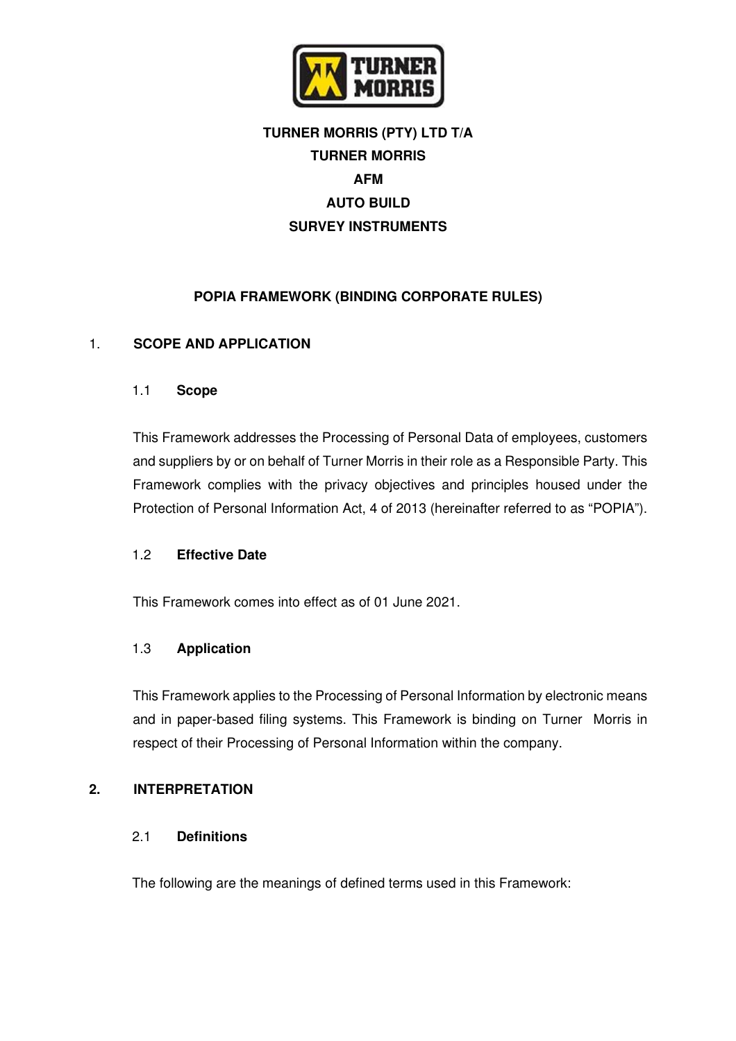

# **TURNER MORRIS (PTY) LTD T/A TURNER MORRIS AFM AUTO BUILD SURVEY INSTRUMENTS**

# **POPIA FRAMEWORK (BINDING CORPORATE RULES)**

## 1. **SCOPE AND APPLICATION**

#### 1.1 **Scope**

This Framework addresses the Processing of Personal Data of employees, customers and suppliers by or on behalf of Turner Morris in their role as a Responsible Party. This Framework complies with the privacy objectives and principles housed under the Protection of Personal Information Act, 4 of 2013 (hereinafter referred to as "POPIA").

#### 1.2 **Effective Date**

This Framework comes into effect as of 01 June 2021.

#### 1.3 **Application**

This Framework applies to the Processing of Personal Information by electronic means and in paper-based filing systems. This Framework is binding on Turner Morris in respect of their Processing of Personal Information within the company.

#### **2. INTERPRETATION**

#### 2.1 **Definitions**

The following are the meanings of defined terms used in this Framework: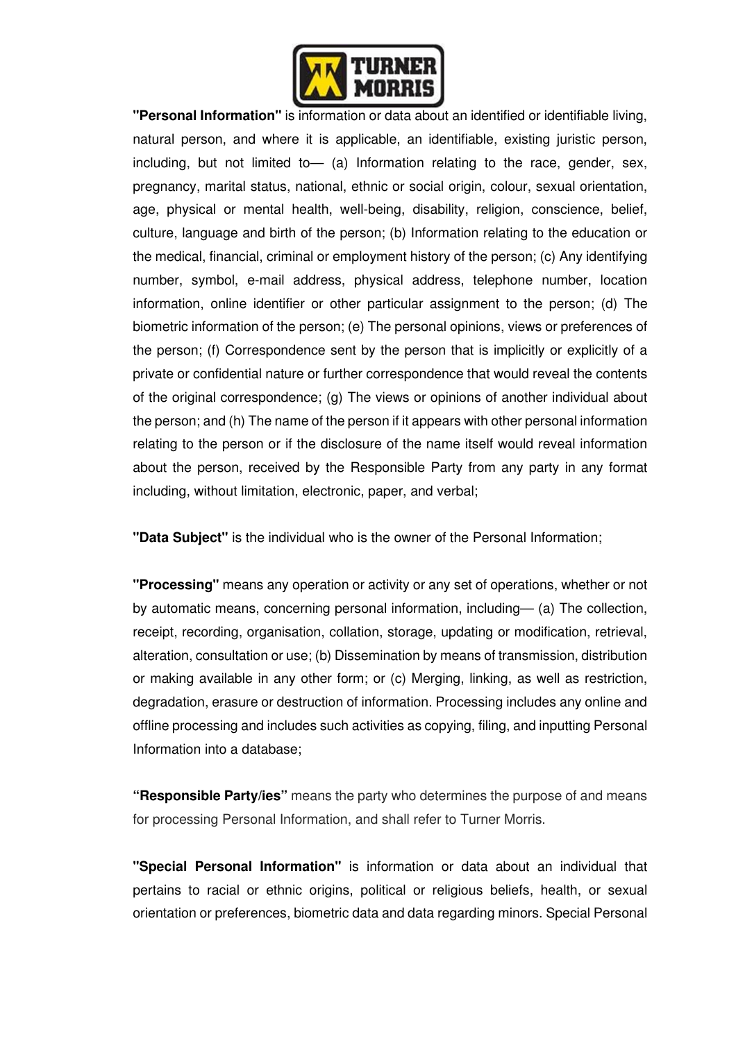

**"Personal Information"** is information or data about an identified or identifiable living, natural person, and where it is applicable, an identifiable, existing juristic person, including, but not limited to— (a) Information relating to the race, gender, sex, pregnancy, marital status, national, ethnic or social origin, colour, sexual orientation, age, physical or mental health, well-being, disability, religion, conscience, belief, culture, language and birth of the person; (b) Information relating to the education or the medical, financial, criminal or employment history of the person; (c) Any identifying number, symbol, e-mail address, physical address, telephone number, location information, online identifier or other particular assignment to the person; (d) The biometric information of the person; (e) The personal opinions, views or preferences of the person; (f) Correspondence sent by the person that is implicitly or explicitly of a private or confidential nature or further correspondence that would reveal the contents of the original correspondence; (g) The views or opinions of another individual about the person; and (h) The name of the person if it appears with other personal information relating to the person or if the disclosure of the name itself would reveal information about the person, received by the Responsible Party from any party in any format including, without limitation, electronic, paper, and verbal;

**"Data Subject"** is the individual who is the owner of the Personal Information;

**"Processing"** means any operation or activity or any set of operations, whether or not by automatic means, concerning personal information, including— (a) The collection, receipt, recording, organisation, collation, storage, updating or modification, retrieval, alteration, consultation or use; (b) Dissemination by means of transmission, distribution or making available in any other form; or (c) Merging, linking, as well as restriction, degradation, erasure or destruction of information. Processing includes any online and offline processing and includes such activities as copying, filing, and inputting Personal Information into a database;

**"Responsible Party/ies"** means the party who determines the purpose of and means for processing Personal Information, and shall refer to Turner Morris.

**"Special Personal Information"** is information or data about an individual that pertains to racial or ethnic origins, political or religious beliefs, health, or sexual orientation or preferences, biometric data and data regarding minors. Special Personal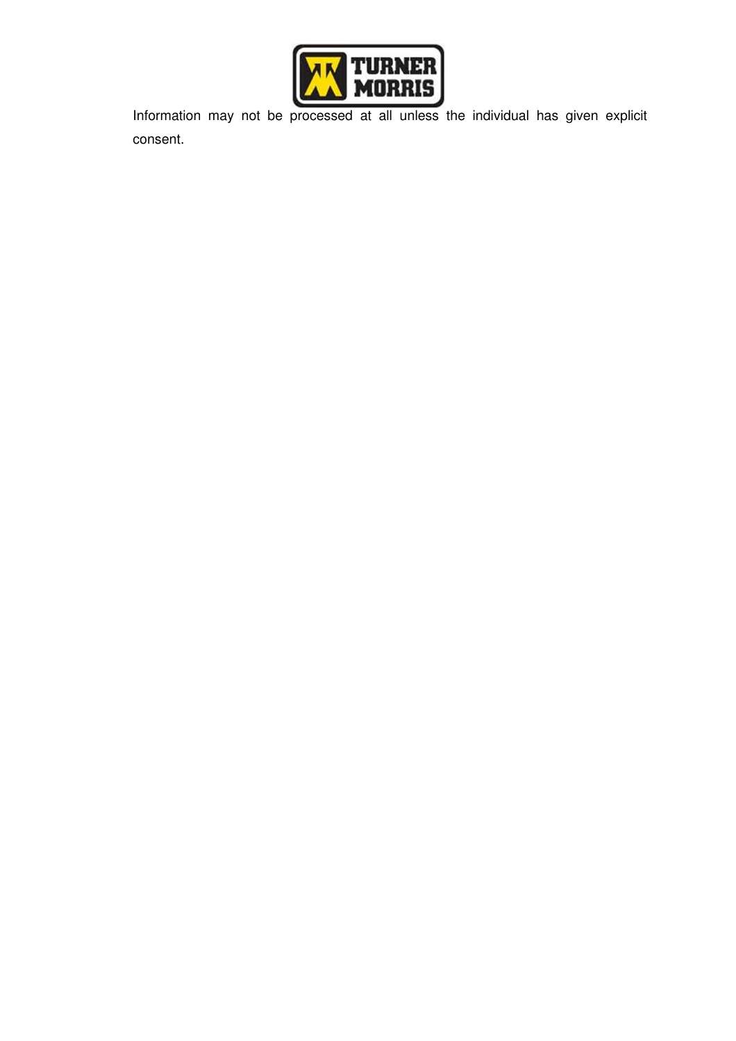

Information may not be processed at all unless the individual has given explicit consent.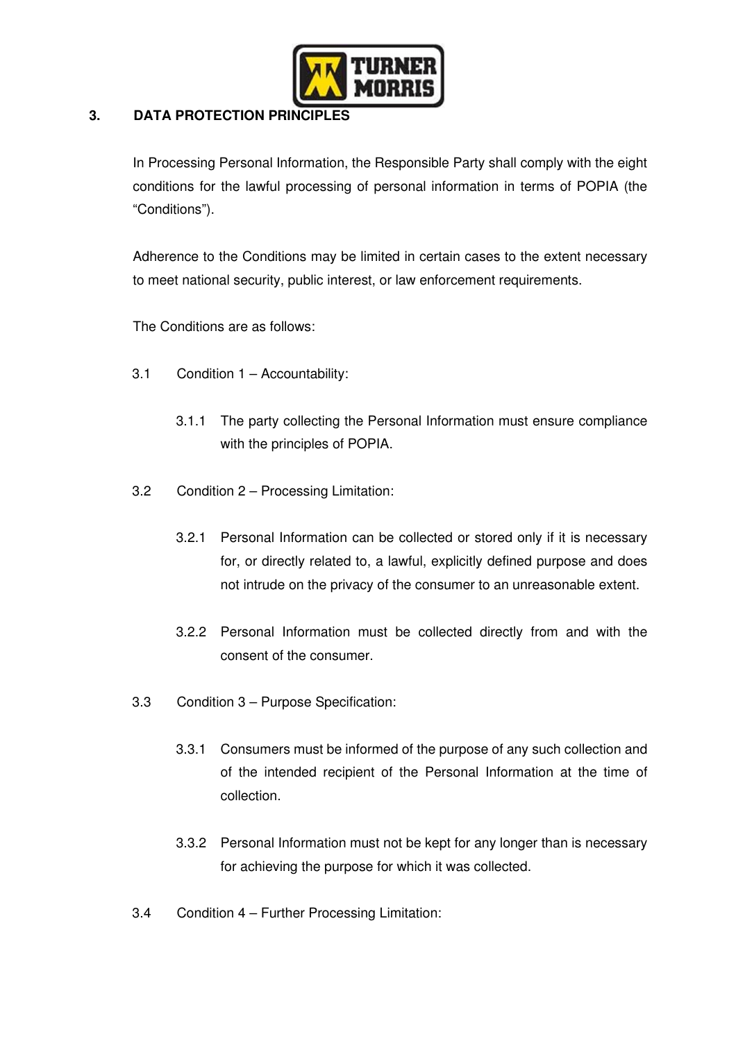

# **3. DATA PROTECTION PRINCIPLES**

In Processing Personal Information, the Responsible Party shall comply with the eight conditions for the lawful processing of personal information in terms of POPIA (the "Conditions").

Adherence to the Conditions may be limited in certain cases to the extent necessary to meet national security, public interest, or law enforcement requirements.

The Conditions are as follows:

- 3.1 Condition 1 Accountability:
	- 3.1.1 The party collecting the Personal Information must ensure compliance with the principles of POPIA.
- 3.2 Condition 2 Processing Limitation:
	- 3.2.1 Personal Information can be collected or stored only if it is necessary for, or directly related to, a lawful, explicitly defined purpose and does not intrude on the privacy of the consumer to an unreasonable extent.
	- 3.2.2 Personal Information must be collected directly from and with the consent of the consumer.
- 3.3 Condition 3 Purpose Specification:
	- 3.3.1 Consumers must be informed of the purpose of any such collection and of the intended recipient of the Personal Information at the time of collection.
	- 3.3.2 Personal Information must not be kept for any longer than is necessary for achieving the purpose for which it was collected.
- 3.4 Condition 4 Further Processing Limitation: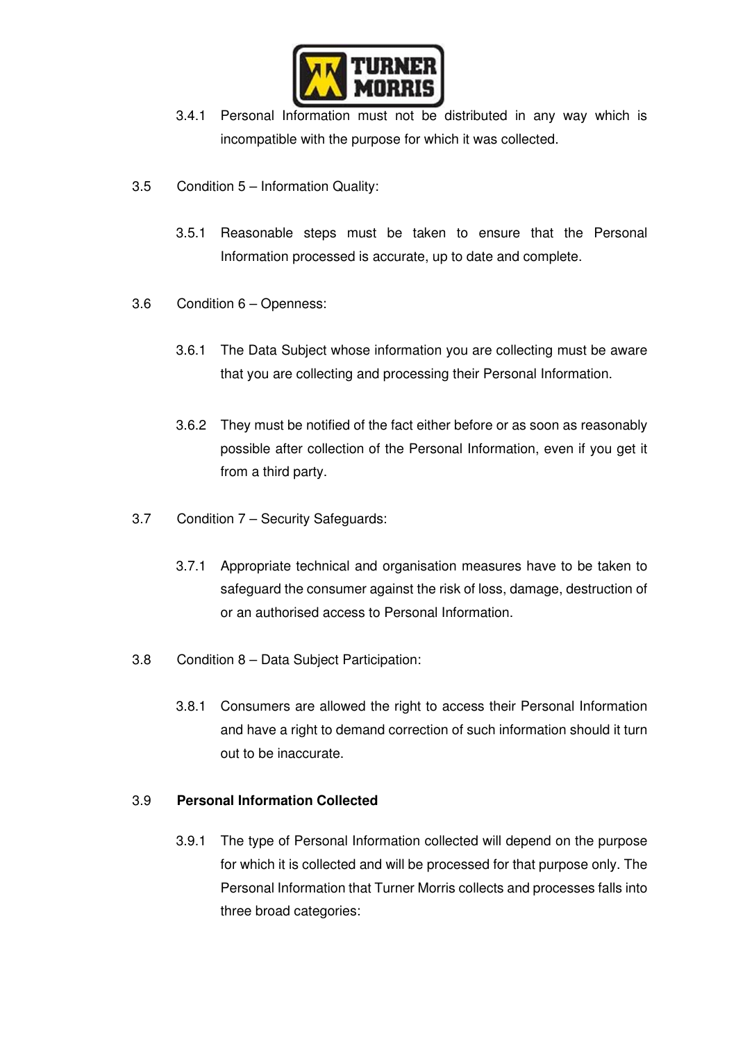

- 3.4.1 Personal Information must not be distributed in any way which is incompatible with the purpose for which it was collected.
- 3.5 Condition 5 Information Quality:
	- 3.5.1 Reasonable steps must be taken to ensure that the Personal Information processed is accurate, up to date and complete.
- 3.6 Condition 6 Openness:
	- 3.6.1 The Data Subject whose information you are collecting must be aware that you are collecting and processing their Personal Information.
	- 3.6.2 They must be notified of the fact either before or as soon as reasonably possible after collection of the Personal Information, even if you get it from a third party.
- 3.7 Condition 7 Security Safeguards:
	- 3.7.1 Appropriate technical and organisation measures have to be taken to safeguard the consumer against the risk of loss, damage, destruction of or an authorised access to Personal Information.
- 3.8 Condition 8 Data Subject Participation:
	- 3.8.1 Consumers are allowed the right to access their Personal Information and have a right to demand correction of such information should it turn out to be inaccurate.

## 3.9 **Personal Information Collected**

3.9.1 The type of Personal Information collected will depend on the purpose for which it is collected and will be processed for that purpose only. The Personal Information that Turner Morris collects and processes falls into three broad categories: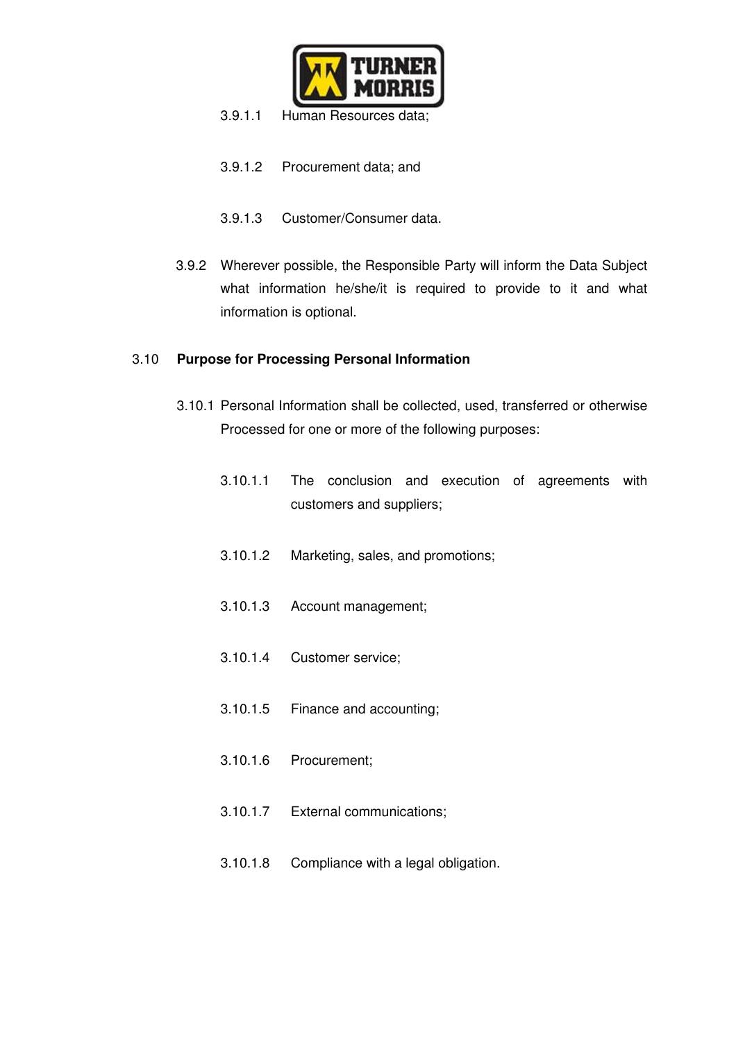

- 3.9.1.1 Human Resources data;
- 3.9.1.2 Procurement data; and
- 3.9.1.3 Customer/Consumer data.
- 3.9.2 Wherever possible, the Responsible Party will inform the Data Subject what information he/she/it is required to provide to it and what information is optional.

#### 3.10 **Purpose for Processing Personal Information**

- 3.10.1 Personal Information shall be collected, used, transferred or otherwise Processed for one or more of the following purposes:
	- 3.10.1.1 The conclusion and execution of agreements with customers and suppliers;
	- 3.10.1.2 Marketing, sales, and promotions;
	- 3.10.1.3 Account management;
	- 3.10.1.4 Customer service;
	- 3.10.1.5 Finance and accounting;
	- 3.10.1.6 Procurement;
	- 3.10.1.7 External communications;
	- 3.10.1.8 Compliance with a legal obligation.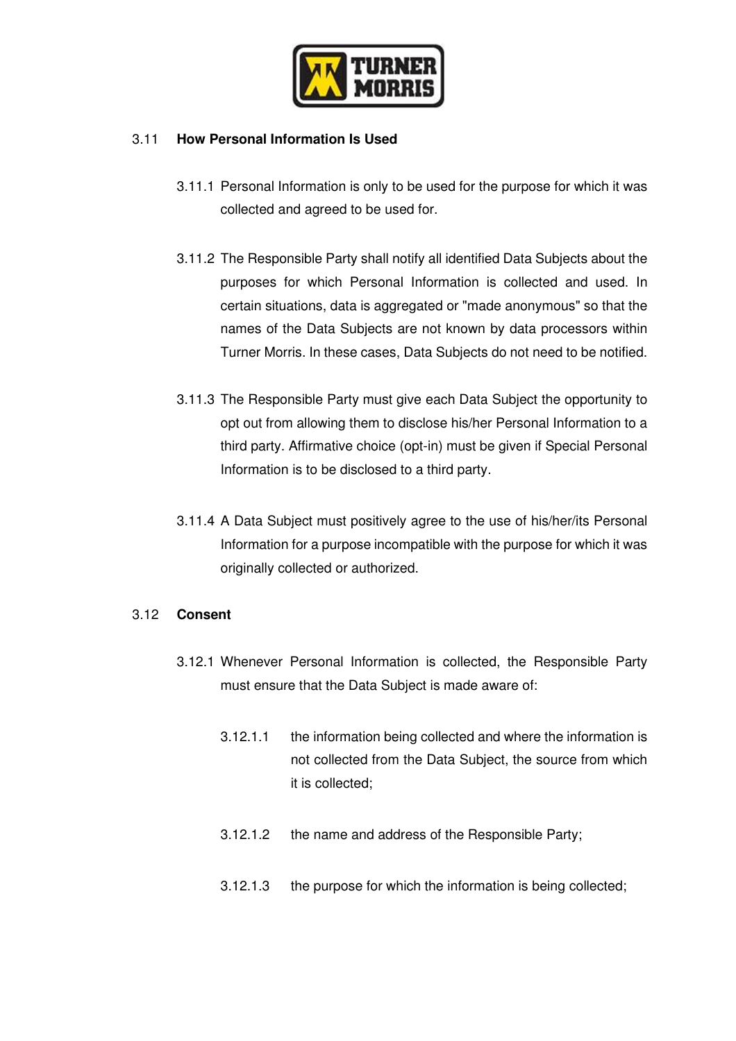

## 3.11 **How Personal Information Is Used**

- 3.11.1 Personal Information is only to be used for the purpose for which it was collected and agreed to be used for.
- 3.11.2 The Responsible Party shall notify all identified Data Subjects about the purposes for which Personal Information is collected and used. In certain situations, data is aggregated or "made anonymous" so that the names of the Data Subjects are not known by data processors within Turner Morris. In these cases, Data Subjects do not need to be notified.
- 3.11.3 The Responsible Party must give each Data Subject the opportunity to opt out from allowing them to disclose his/her Personal Information to a third party. Affirmative choice (opt-in) must be given if Special Personal Information is to be disclosed to a third party.
- 3.11.4 A Data Subject must positively agree to the use of his/her/its Personal Information for a purpose incompatible with the purpose for which it was originally collected or authorized.

## 3.12 **Consent**

- 3.12.1 Whenever Personal Information is collected, the Responsible Party must ensure that the Data Subject is made aware of:
	- 3.12.1.1 the information being collected and where the information is not collected from the Data Subject, the source from which it is collected;
	- 3.12.1.2 the name and address of the Responsible Party;
	- 3.12.1.3 the purpose for which the information is being collected;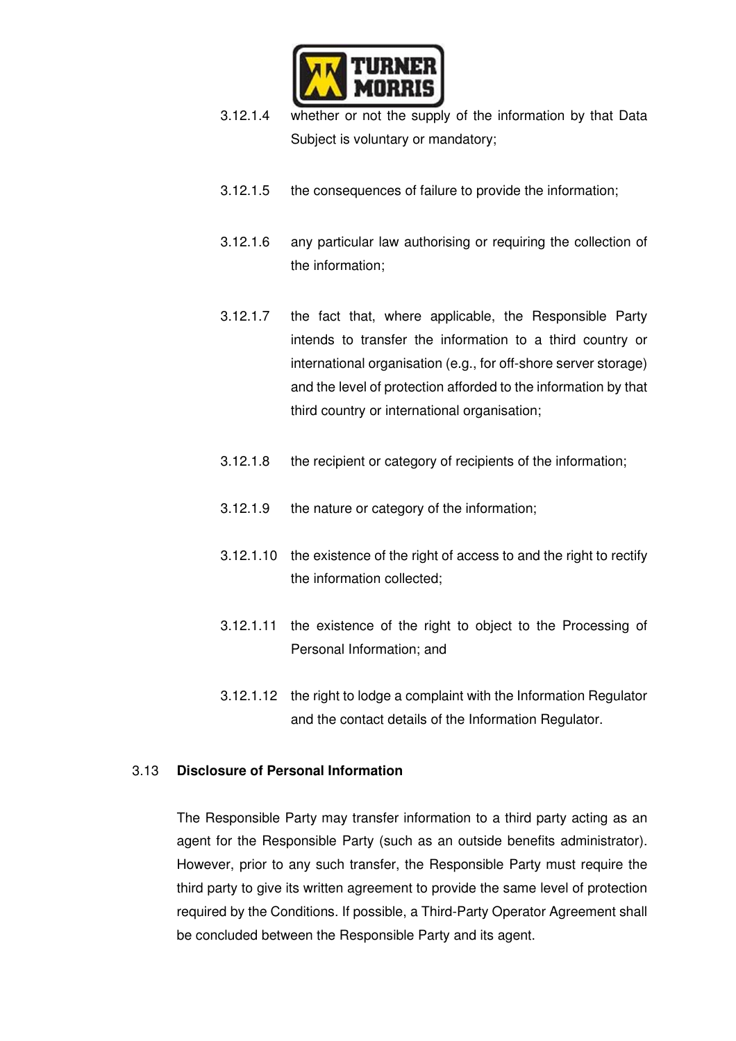

- 3.12.1.4 whether or not the supply of the information by that Data Subject is voluntary or mandatory;
- 3.12.1.5 the consequences of failure to provide the information;
- 3.12.1.6 any particular law authorising or requiring the collection of the information;
- 3.12.1.7 the fact that, where applicable, the Responsible Party intends to transfer the information to a third country or international organisation (e.g., for off-shore server storage) and the level of protection afforded to the information by that third country or international organisation;
- 3.12.1.8 the recipient or category of recipients of the information;
- 3.12.1.9 the nature or category of the information;
- 3.12.1.10 the existence of the right of access to and the right to rectify the information collected;
- 3.12.1.11 the existence of the right to object to the Processing of Personal Information; and
- 3.12.1.12 the right to lodge a complaint with the Information Regulator and the contact details of the Information Regulator.

#### 3.13 **Disclosure of Personal Information**

The Responsible Party may transfer information to a third party acting as an agent for the Responsible Party (such as an outside benefits administrator). However, prior to any such transfer, the Responsible Party must require the third party to give its written agreement to provide the same level of protection required by the Conditions. If possible, a Third-Party Operator Agreement shall be concluded between the Responsible Party and its agent.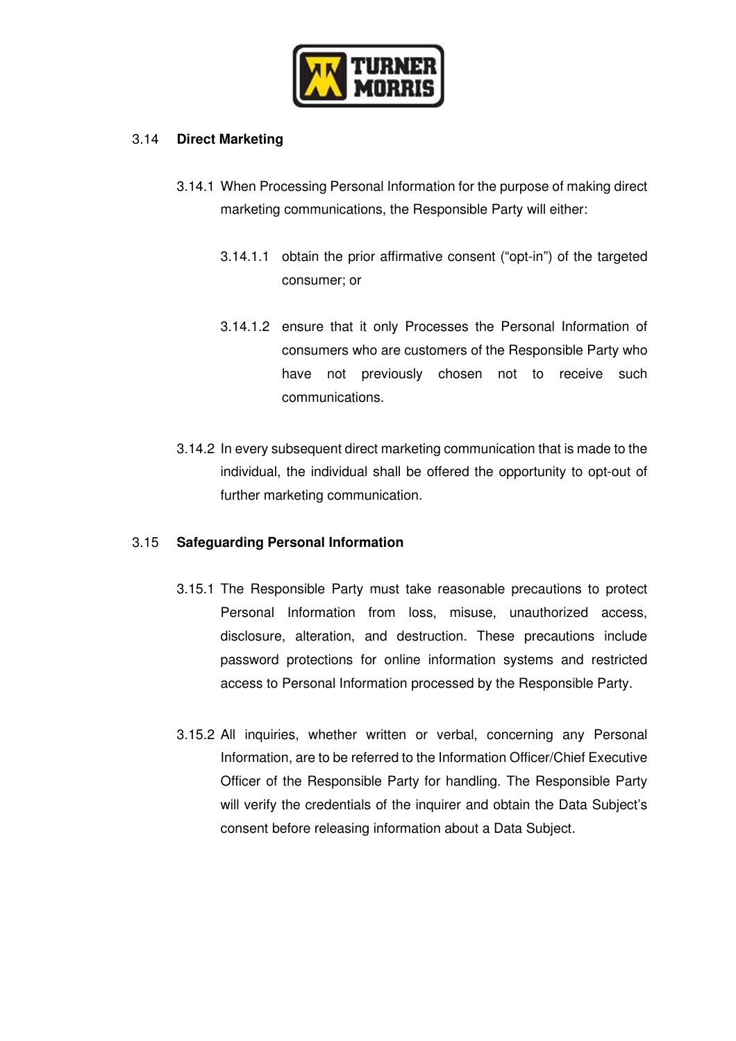

## 3.14 **Direct Marketing**

- 3.14.1 When Processing Personal Information for the purpose of making direct marketing communications, the Responsible Party will either:
	- 3.14.1.1 obtain the prior affirmative consent ("opt-in") of the targeted consumer; or
	- 3.14.1.2 ensure that it only Processes the Personal Information of consumers who are customers of the Responsible Party who have not previously chosen not to receive such communications.
- 3.14.2 In every subsequent direct marketing communication that is made to the individual, the individual shall be offered the opportunity to opt-out of further marketing communication.

#### 3.15 **Safeguarding Personal Information**

- 3.15.1 The Responsible Party must take reasonable precautions to protect Personal Information from loss, misuse, unauthorized access, disclosure, alteration, and destruction. These precautions include password protections for online information systems and restricted access to Personal Information processed by the Responsible Party.
- 3.15.2 All inquiries, whether written or verbal, concerning any Personal Information, are to be referred to the Information Officer/Chief Executive Officer of the Responsible Party for handling. The Responsible Party will verify the credentials of the inquirer and obtain the Data Subject's consent before releasing information about a Data Subject.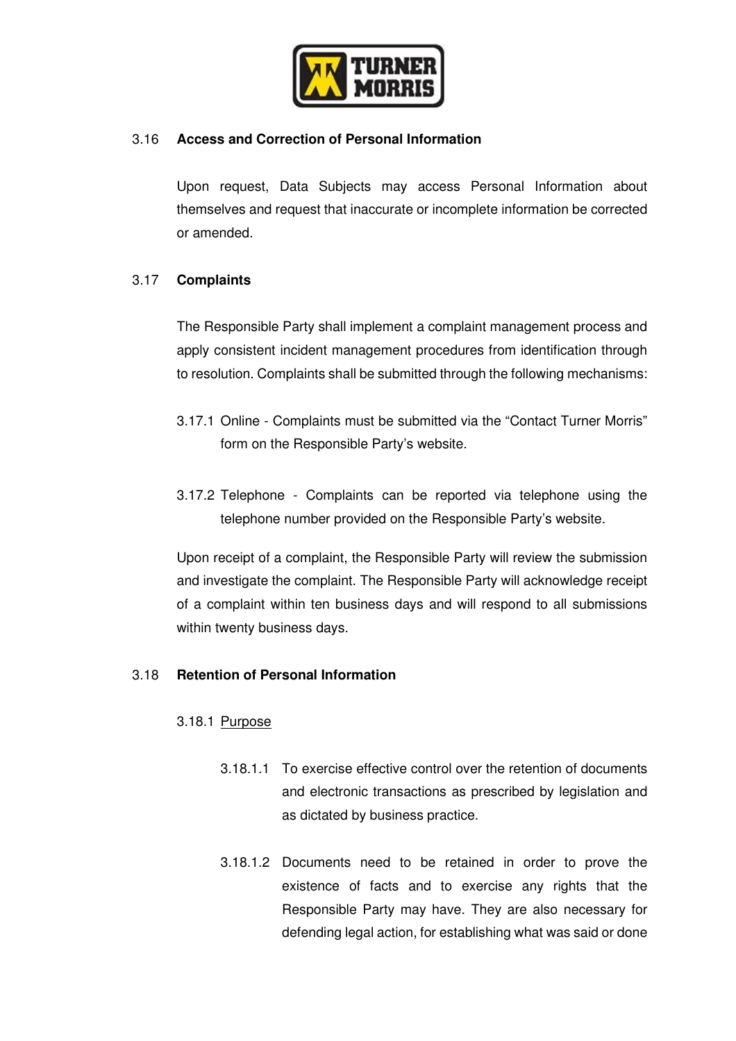

## 3.16 **Access and Correction of Personal Information**

Upon request, Data Subjects may access Personal Information about themselves and request that inaccurate or incomplete information be corrected or amended.

## 3.17 **Complaints**

The Responsible Party shall implement a complaint management process and apply consistent incident management procedures from identification through to resolution. Complaints shall be submitted through the following mechanisms:

- 3.17.1 Online Complaints must be submitted via the "Contact Turner Morris" form on the Responsible Party's website.
- 3.17.2 Telephone Complaints can be reported via telephone using the telephone number provided on the Responsible Party's website.

Upon receipt of a complaint, the Responsible Party will review the submission and investigate the complaint. The Responsible Party will acknowledge receipt of a complaint within ten business days and will respond to all submissions within twenty business days.

#### 3.18 **Retention of Personal Information**

#### 3.18.1 Purpose

- 3.18.1.1 To exercise effective control over the retention of documents and electronic transactions as prescribed by legislation and as dictated by business practice.
- 3.18.1.2 Documents need to be retained in order to prove the existence of facts and to exercise any rights that the Responsible Party may have. They are also necessary for defending legal action, for establishing what was said or done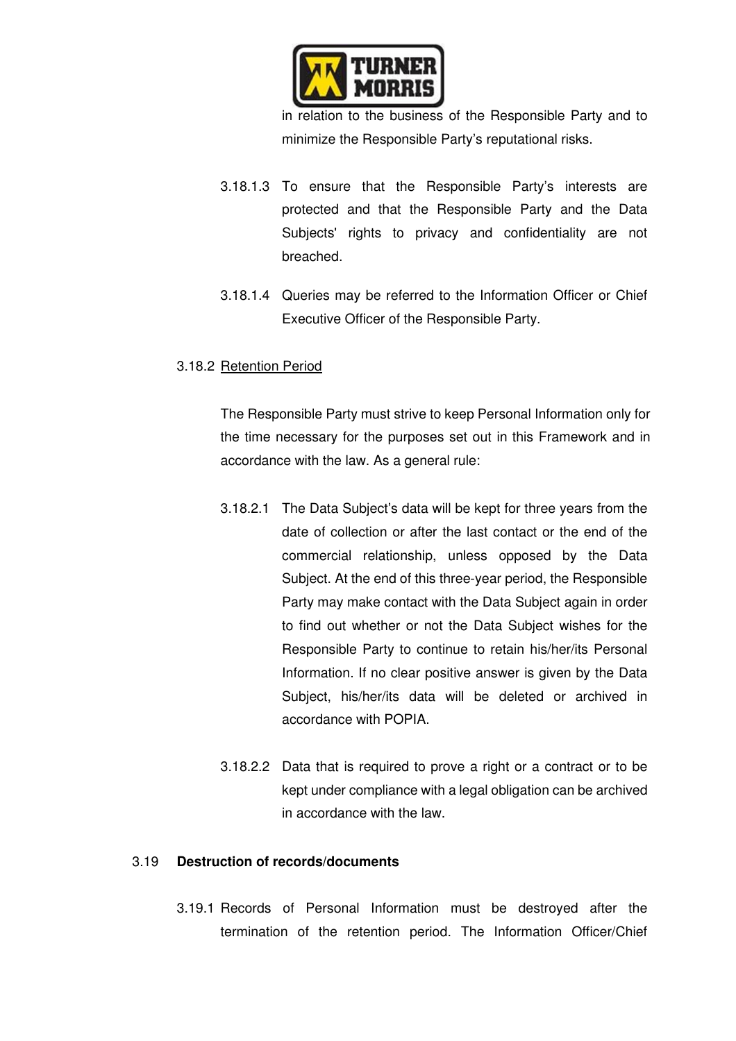

in relation to the business of the Responsible Party and to minimize the Responsible Party's reputational risks.

- 3.18.1.3 To ensure that the Responsible Party's interests are protected and that the Responsible Party and the Data Subjects' rights to privacy and confidentiality are not breached.
- 3.18.1.4 Queries may be referred to the Information Officer or Chief Executive Officer of the Responsible Party.

## 3.18.2 Retention Period

The Responsible Party must strive to keep Personal Information only for the time necessary for the purposes set out in this Framework and in accordance with the law. As a general rule:

- 3.18.2.1 The Data Subject's data will be kept for three years from the date of collection or after the last contact or the end of the commercial relationship, unless opposed by the Data Subject. At the end of this three-year period, the Responsible Party may make contact with the Data Subject again in order to find out whether or not the Data Subject wishes for the Responsible Party to continue to retain his/her/its Personal Information. If no clear positive answer is given by the Data Subject, his/her/its data will be deleted or archived in accordance with POPIA.
- 3.18.2.2 Data that is required to prove a right or a contract or to be kept under compliance with a legal obligation can be archived in accordance with the law.

## 3.19 **Destruction of records/documents**

3.19.1 Records of Personal Information must be destroyed after the termination of the retention period. The Information Officer/Chief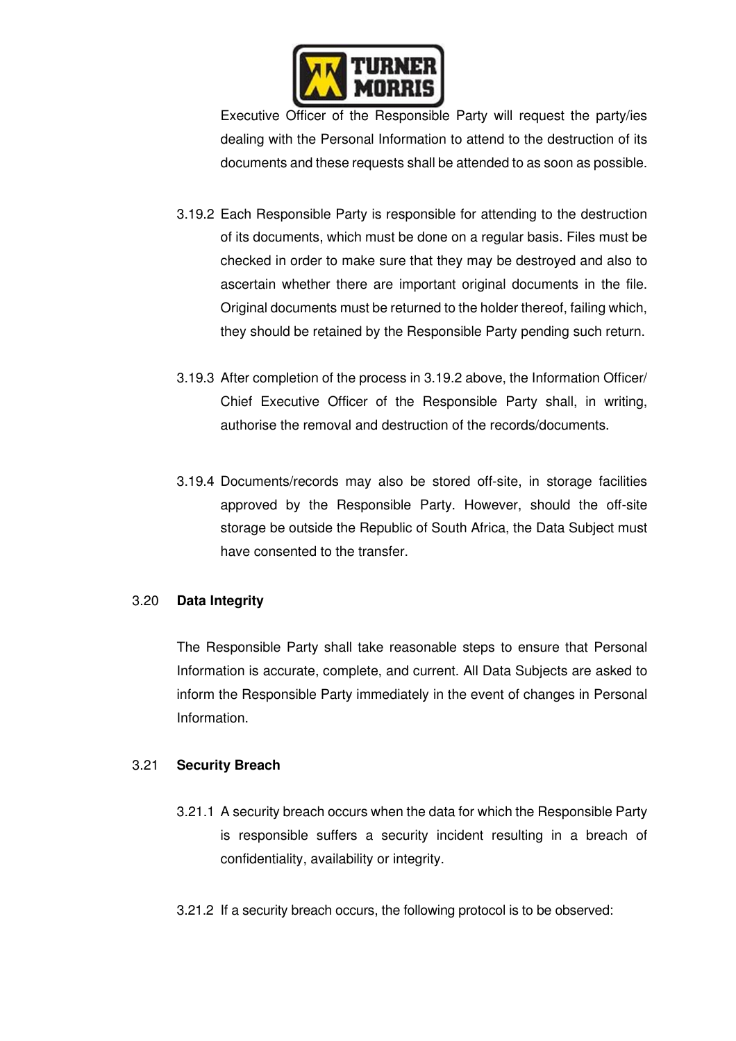

Executive Officer of the Responsible Party will request the party/ies dealing with the Personal Information to attend to the destruction of its documents and these requests shall be attended to as soon as possible.

- 3.19.2 Each Responsible Party is responsible for attending to the destruction of its documents, which must be done on a regular basis. Files must be checked in order to make sure that they may be destroyed and also to ascertain whether there are important original documents in the file. Original documents must be returned to the holder thereof, failing which, they should be retained by the Responsible Party pending such return.
- 3.19.3 After completion of the process in 3.19.2 above, the Information Officer/ Chief Executive Officer of the Responsible Party shall, in writing, authorise the removal and destruction of the records/documents.
- 3.19.4 Documents/records may also be stored off-site, in storage facilities approved by the Responsible Party. However, should the off-site storage be outside the Republic of South Africa, the Data Subject must have consented to the transfer.

#### 3.20 **Data Integrity**

The Responsible Party shall take reasonable steps to ensure that Personal Information is accurate, complete, and current. All Data Subjects are asked to inform the Responsible Party immediately in the event of changes in Personal Information.

## 3.21 **Security Breach**

- 3.21.1 A security breach occurs when the data for which the Responsible Party is responsible suffers a security incident resulting in a breach of confidentiality, availability or integrity.
- 3.21.2 If a security breach occurs, the following protocol is to be observed: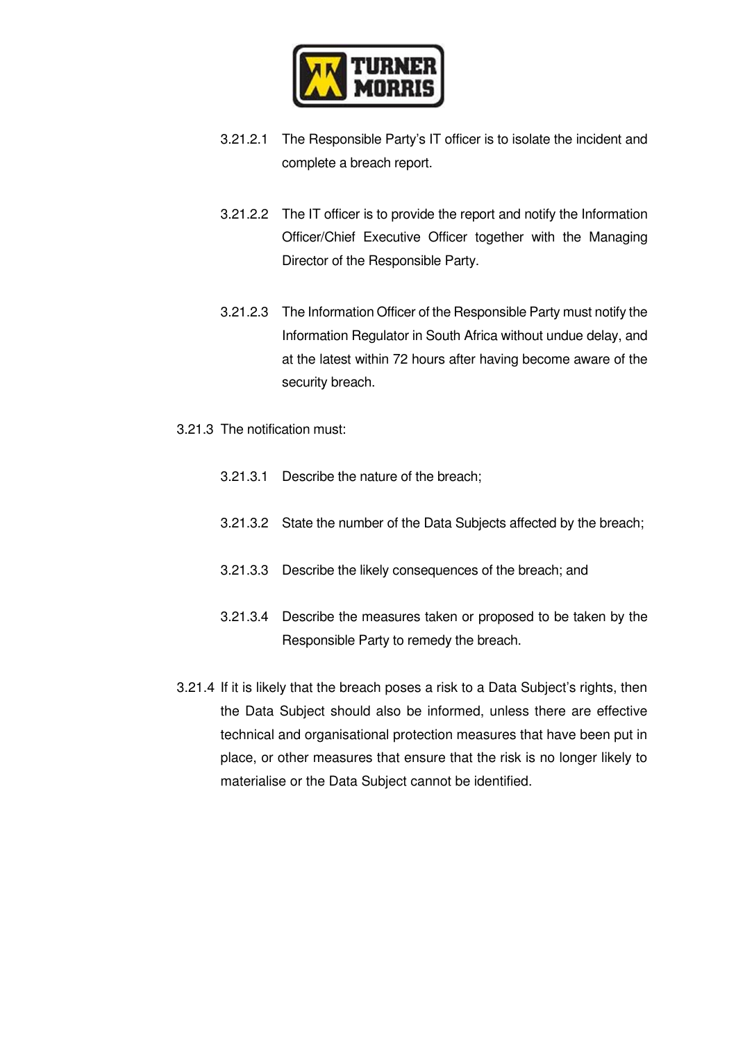

- 3.21.2.1 The Responsible Party's IT officer is to isolate the incident and complete a breach report.
- 3.21.2.2 The IT officer is to provide the report and notify the Information Officer/Chief Executive Officer together with the Managing Director of the Responsible Party.
- 3.21.2.3 The Information Officer of the Responsible Party must notify the Information Regulator in South Africa without undue delay, and at the latest within 72 hours after having become aware of the security breach.
- 3.21.3 The notification must:
	- 3.21.3.1 Describe the nature of the breach;
	- 3.21.3.2 State the number of the Data Subjects affected by the breach;
	- 3.21.3.3 Describe the likely consequences of the breach; and
	- 3.21.3.4 Describe the measures taken or proposed to be taken by the Responsible Party to remedy the breach.
- 3.21.4 If it is likely that the breach poses a risk to a Data Subject's rights, then the Data Subject should also be informed, unless there are effective technical and organisational protection measures that have been put in place, or other measures that ensure that the risk is no longer likely to materialise or the Data Subject cannot be identified.